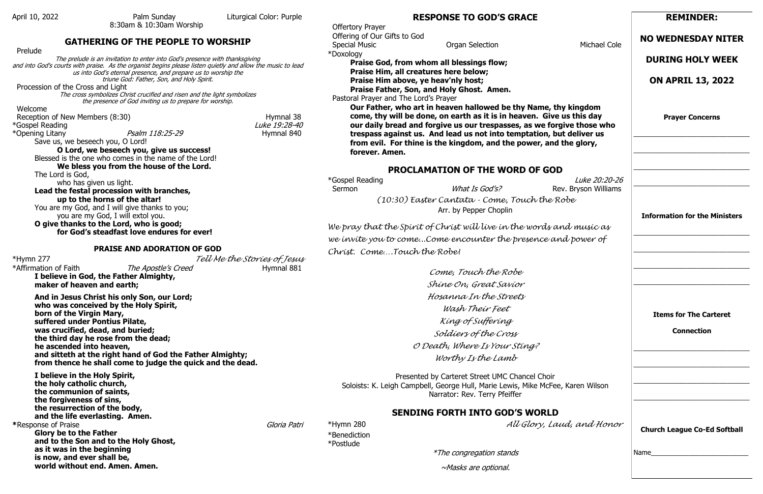8:30am & 10:30am Worship

### **GATHERING OF THE PEOPLE TO WORSHIP**

Prelude

The prelude is an invitation to enter into God's presence with thanksgiving and into God's courts with praise. As the organist begins please listen quietly and allow the music to lead us into God's eternal presence, and prepare us to worship the triune God: Father, Son, and Holy Spirit.

Procession of the Cross and Light

The cross symbolizes Christ crucified and risen and the light symbolizes the presence of God inviting us to prepare for worship.

Welcome

Reception of New Members (8:30) Reception of New Members (8:30)

\*Opening Litany **Psalm 118:25-29** Hymnal 840

\*Gospel Reading Luke 19:28-40

Save us, we beseech you, O Lord!

**O Lord, we beseech you, give us success!**  Blessed is the one who comes in the name of the Lord! **We bless you from the house of the Lord.** 

The Lord is God,

who has given us light.

**Lead the festal procession with branches, up to the horns of the altar!**  You are my God, and I will give thanks to you; you are my God, I will extol you.

**O give thanks to the Lord, who is good; for God's steadfast love endures for ever!**

#### **PRAISE AND ADORATION OF GOD**

\*Hymn 277 *Tell Me the Stories of Jesus*

\*Affirmation of Faith  $\frac{The\ A postle's\ Creed}$  Hymnal 881

**I believe in God, the Father Almighty, maker of heaven and earth;**

\*Gospel Reading Luke 20:20-26 Sermon **Example 3 Sermon** What Is God's? **Rev. Bryson Williams** 

**And in Jesus Christ his only Son, our Lord; who was conceived by the Holy Spirit, born of the Virgin Mary, suffered under Pontius Pilate, was crucified, dead, and buried; the third day he rose from the dead; he ascended into heaven, and sitteth at the right hand of God the Father Almighty; from thence he shall come to judge the quick and the dead.**

**I believe in the Holy Spirit, the holy catholic church, the communion of saints, the forgiveness of sins, the resurrection of the body, and the life everlasting. Amen. \***Response of Praise Gloria Patri **Glory be to the Father and to the Son and to the Holy Ghost, as it was in the beginning is now, and ever shall be, world without end. Amen. Amen.**

# **RESPONSE TO GOD'S GRACE**

 Offertory Prayer Offering of Our Gifts to God Special Music **Special Music Cole** Organ Selection **Michael Cole** Michael Cole \*Doxology

**Praise God, from whom all blessings flow; Praise Him, all creatures here below; Praise Him above, ye heav'nly host; Praise Father, Son, and Holy Ghost. Amen.**

#### Pastoral Prayer and The Lord's Prayer

**Our Father, who art in heaven hallowed be thy Name, thy kingdom come, thy will be done, on earth as it is in heaven. Give us this day our daily bread and forgive us our trespasses, as we forgive those who trespass against us. And lead us not into temptation, but deliver us from evil. For thine is the kingdom, and the power, and the glory, forever. Amen.**

# **PROCLAMATION OF THE WORD OF GOD**

*(10:30) Easter Cantata - Come, Touch the Robe*  Arr. by Pepper Choplin

*We pray that the Spirit of Christ will live in the words and music as we invite you to come...Come encounter the presence and power of Christ. Come….Touch the Robe!*

> *Come, Touch the Robe Shine On, Great Savior Hosanna In the Streets Wash Their Feet King of Suffering Soldiers of the Cross O Death, Where Is Your Sting? Worthy Is the Lamb*

Presented by Carteret Street UMC Chancel Choir Soloists: K. Leigh Campbell, George Hull, Marie Lewis, Mike McFee, Karen Wilson Narrator: Rev. Terry Pfeiffer

# **SENDING FORTH INTO GOD'S WORLD**

\*Hymn 280 *All Glory, Laud, and Honor*

\*Benediction

\*Postlude

\*The congregation stands

~Masks are optional.

# **REMINDER:**

# **NO WEDNESDAY NITER**

# **DURING HOLY WEEK**

# **ON APRIL 13, 2022**

**Prayer Concerns**

\_\_\_\_\_\_\_\_\_\_\_\_\_\_\_\_\_\_\_\_\_\_\_\_\_\_\_\_\_\_\_

\_\_\_\_\_\_\_\_\_\_\_\_\_\_\_\_\_\_\_\_\_\_\_\_\_\_\_\_\_\_\_

\_\_\_\_\_\_\_\_\_\_\_\_\_\_\_\_\_\_\_\_\_\_\_\_\_\_\_\_\_\_\_

\_\_\_\_\_\_\_\_\_\_\_\_\_\_\_\_\_\_\_\_\_\_\_\_\_\_\_\_\_\_\_

# **Information for the Ministers**

\_\_\_\_\_\_\_\_\_\_\_\_\_\_\_\_\_\_\_\_\_\_\_\_\_\_\_\_\_\_\_

\_\_\_\_\_\_\_\_\_\_\_\_\_\_\_\_\_\_\_\_\_\_\_\_\_\_\_\_\_\_\_

\_\_\_\_\_\_\_\_\_\_\_\_\_\_\_\_\_\_\_\_\_\_\_\_\_\_\_\_\_\_\_

\_\_\_\_\_\_\_\_\_\_\_\_\_\_\_\_\_\_\_\_\_\_\_\_\_\_\_\_\_\_\_

**Items for The Carteret** 

### **Connection**

\_\_\_\_\_\_\_\_\_\_\_\_\_\_\_\_\_\_\_\_\_\_\_\_\_\_\_\_\_\_\_

\_\_\_\_\_\_\_\_\_\_\_\_\_\_\_\_\_\_\_\_\_\_\_\_\_\_\_\_\_\_\_

\_\_\_\_\_\_\_\_\_\_\_\_\_\_\_\_\_\_\_\_\_\_\_\_\_\_\_\_\_\_\_

\_\_\_\_\_\_\_\_\_\_\_\_\_\_\_\_\_\_\_\_\_\_\_\_\_\_\_\_\_\_\_

**Church League Co-Ed Softball** 

Name\_\_\_\_\_\_\_\_\_\_\_\_\_\_\_\_\_\_\_\_\_\_\_\_\_\_